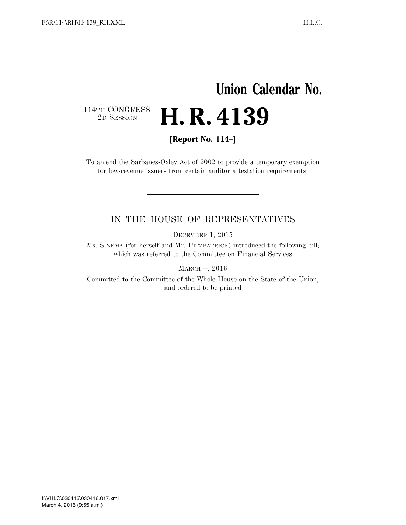## **Union Calendar No.**   $\begin{array}{c} \textbf{114TH CONGRESS} \\ \textbf{2D} \textbf{SESSION} \end{array}$ 2D SESSION **H. R. 4139**

**[Report No. 114–]** 

To amend the Sarbanes-Oxley Act of 2002 to provide a temporary exemption for low-revenue issuers from certain auditor attestation requirements.

## IN THE HOUSE OF REPRESENTATIVES

DECEMBER 1, 2015

Ms. SINEMA (for herself and Mr. FITZPATRICK) introduced the following bill; which was referred to the Committee on Financial Services

MARCH --, 2016

Committed to the Committee of the Whole House on the State of the Union, and ordered to be printed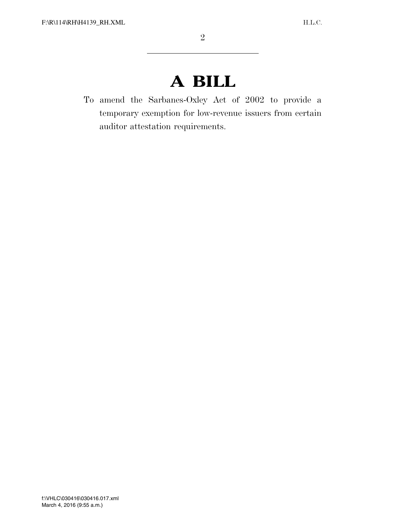## **A BILL**

To amend the Sarbanes-Oxley Act of 2002 to provide a temporary exemption for low-revenue issuers from certain auditor attestation requirements.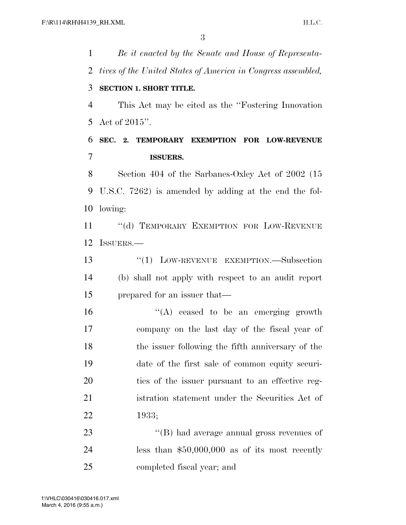*Be it enacted by the Senate and House of Representa- tives of the United States of America in Congress assembled,*  **SECTION 1. SHORT TITLE.**  This Act may be cited as the ''Fostering Innovation Act of 2015''. **SEC. 2. TEMPORARY EXEMPTION FOR LOW-REVENUE ISSUERS.**  Section 404 of the Sarbanes-Oxley Act of 2002 (15 U.S.C. 7262) is amended by adding at the end the fol- lowing: 11 "(d) TEMPORARY EXEMPTION FOR LOW-REVENUE ISSUERS.— ''(1) LOW-REVENUE EXEMPTION.—Subsection (b) shall not apply with respect to an audit report prepared for an issuer that— "(A) ceased to be an emerging growth company on the last day of the fiscal year of the issuer following the fifth anniversary of the date of the first sale of common equity securi- ties of the issuer pursuant to an effective reg- istration statement under the Securities Act of 1933;  $\langle$  (B) had average annual gross revenues of less than \$50,000,000 as of its most recently completed fiscal year; and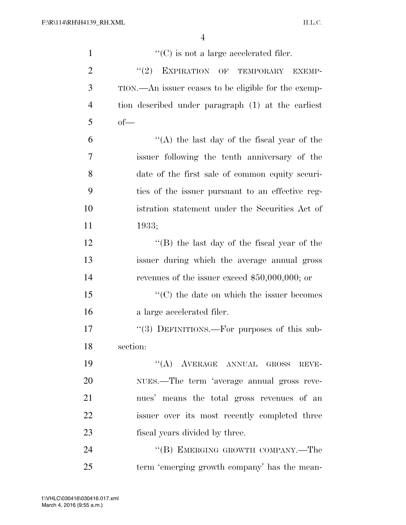| $\mathbf{1}$   | $\lq\lq$ (C) is not a large accelerated filer.       |
|----------------|------------------------------------------------------|
| $\overline{2}$ | (2)<br>EXPIRATION OF TEMPORARY<br><b>EXEMP-</b>      |
| 3              | TION.—An issuer ceases to be eligible for the exemp- |
| $\overline{4}$ | tion described under paragraph (1) at the earliest   |
| 5              | $of$ —                                               |
| 6              | "(A) the last day of the fiscal year of the          |
| $\overline{7}$ | issuer following the tenth anniversary of the        |
| 8              | date of the first sale of common equity securi-      |
| 9              | ties of the issuer pursuant to an effective reg-     |
| 10             | istration statement under the Securities Act of      |
| 11             | 1933;                                                |
| 12             | "(B) the last day of the fiscal year of the          |
| 13             | issuer during which the average annual gross         |
| 14             | revenues of the issuer exceed $$50,000,000$ ; or     |
| 15             | $\lq\lq$ (C) the date on which the issuer becomes    |
| 16             | a large accelerated filer.                           |
| 17             | "(3) DEFINITIONS.—For purposes of this sub-          |
| 18             | section:                                             |
| 19             | "(A) AVERAGE ANNUAL GROSS REVE-                      |
| 20             | NUES.—The term 'average annual gross reve-           |
| 21             | nues' means the total gross revenues of an           |
| 22             | issuer over its most recently completed three        |
| 23             | fiscal years divided by three.                       |
| 24             | "(B) EMERGING GROWTH COMPANY.—The                    |
| 25             | term 'emerging growth company' has the mean-         |